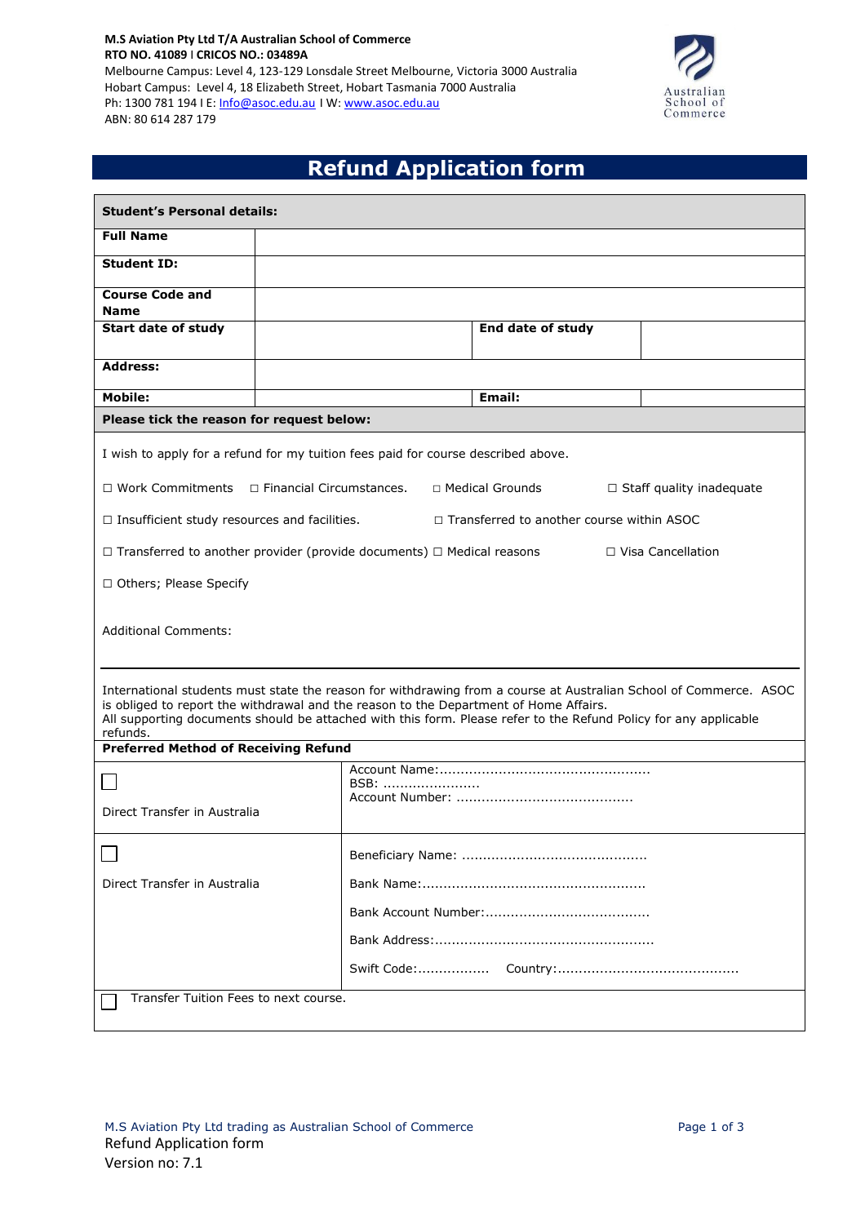**M.S Aviation Pty Ltd T/A Australian School of Commerce RTO NO. 41089** I **CRICOS NO.: 03489A** Melbourne Campus: Level 4, 123-129 Lonsdale Street Melbourne, Victoria 3000 Australia Hobart Campus: Level 4, 18 Elizabeth Street, Hobart Tasmania 7000 Australia Ph: 1300 781 194 I E: [Info@asoc.edu.au](mailto:Info@asoc.edu.au) I W: [www.asoc.edu.au](http://www.asoc.edu.au/) ABN: 80 614 287 179



# **Refund Application form**

| <b>Student's Personal details:</b>                                                                                                                                                                                                        |                            |      |                                                                                                                  |                                 |  |
|-------------------------------------------------------------------------------------------------------------------------------------------------------------------------------------------------------------------------------------------|----------------------------|------|------------------------------------------------------------------------------------------------------------------|---------------------------------|--|
| <b>Full Name</b>                                                                                                                                                                                                                          |                            |      |                                                                                                                  |                                 |  |
| <b>Student ID:</b>                                                                                                                                                                                                                        |                            |      |                                                                                                                  |                                 |  |
| <b>Course Code and</b><br><b>Name</b>                                                                                                                                                                                                     |                            |      |                                                                                                                  |                                 |  |
| <b>Start date of study</b>                                                                                                                                                                                                                |                            |      | End date of study                                                                                                |                                 |  |
| <b>Address:</b>                                                                                                                                                                                                                           |                            |      |                                                                                                                  |                                 |  |
| <b>Mobile:</b>                                                                                                                                                                                                                            |                            |      | <b>Email:</b>                                                                                                    |                                 |  |
| Please tick the reason for request below:                                                                                                                                                                                                 |                            |      |                                                                                                                  |                                 |  |
| I wish to apply for a refund for my tuition fees paid for course described above.                                                                                                                                                         |                            |      |                                                                                                                  |                                 |  |
| $\Box$ Work Commitments                                                                                                                                                                                                                   | □ Financial Circumstances. |      | □ Medical Grounds                                                                                                | $\Box$ Staff quality inadequate |  |
| $\Box$ Insufficient study resources and facilities.                                                                                                                                                                                       |                            |      | $\Box$ Transferred to another course within ASOC                                                                 |                                 |  |
| $\Box$ Transferred to another provider (provide documents) $\Box$ Medical reasons                                                                                                                                                         |                            |      |                                                                                                                  | $\Box$ Visa Cancellation        |  |
| □ Others; Please Specify                                                                                                                                                                                                                  |                            |      |                                                                                                                  |                                 |  |
| <b>Additional Comments:</b><br>International students must state the reason for withdrawing from a course at Australian School of Commerce. ASOC<br>is obliged to report the withdrawal and the reason to the Department of Home Affairs. |                            |      |                                                                                                                  |                                 |  |
| refunds.                                                                                                                                                                                                                                  |                            |      | All supporting documents should be attached with this form. Please refer to the Refund Policy for any applicable |                                 |  |
| <b>Preferred Method of Receiving Refund</b>                                                                                                                                                                                               |                            |      |                                                                                                                  |                                 |  |
|                                                                                                                                                                                                                                           |                            | BSB: |                                                                                                                  |                                 |  |
| Direct Transfer in Australia                                                                                                                                                                                                              |                            |      |                                                                                                                  |                                 |  |
|                                                                                                                                                                                                                                           |                            |      |                                                                                                                  |                                 |  |
| Direct Transfer in Australia                                                                                                                                                                                                              |                            |      |                                                                                                                  |                                 |  |
|                                                                                                                                                                                                                                           |                            |      |                                                                                                                  |                                 |  |
|                                                                                                                                                                                                                                           |                            |      |                                                                                                                  |                                 |  |
|                                                                                                                                                                                                                                           |                            |      |                                                                                                                  |                                 |  |
| Transfer Tuition Fees to next course.                                                                                                                                                                                                     |                            |      |                                                                                                                  |                                 |  |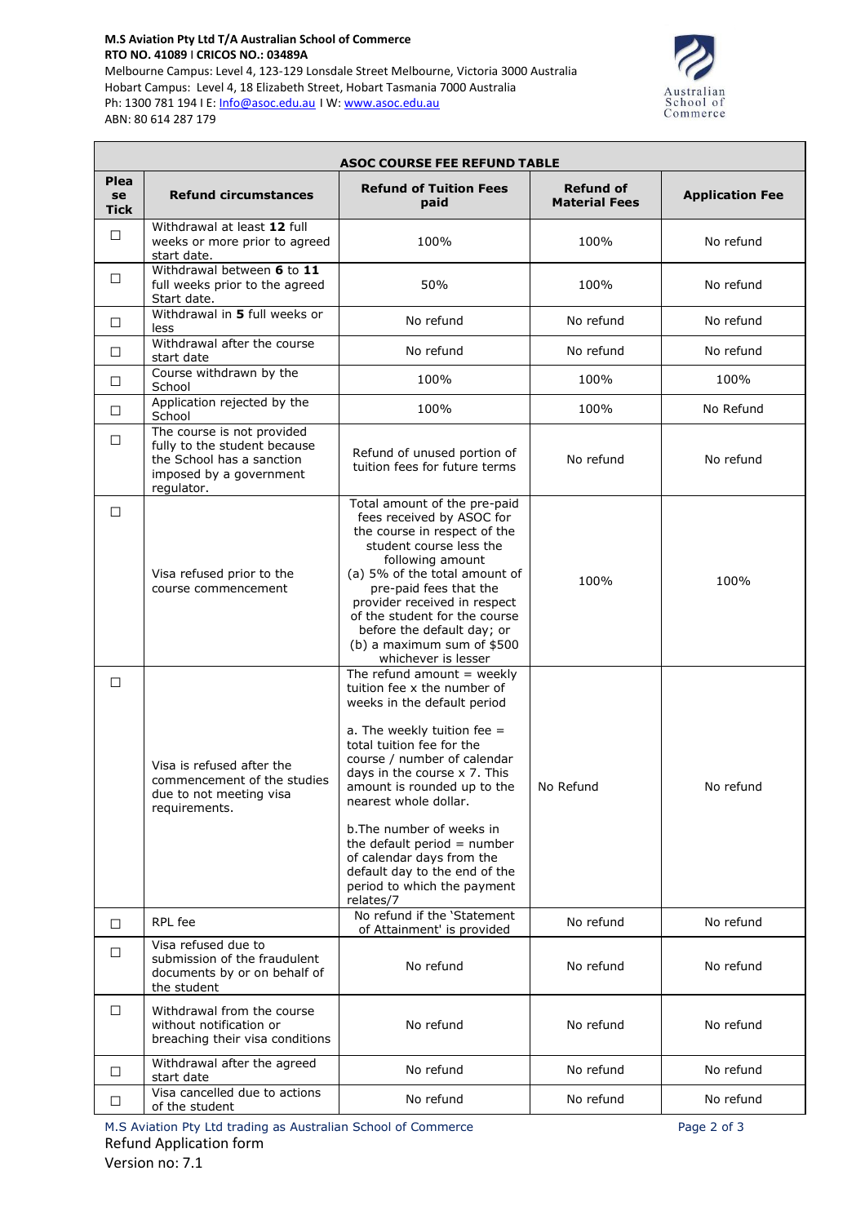#### **M.S Aviation Pty Ltd T/A Australian School of Commerce RTO NO. 41089** I **CRICOS NO.: 03489A** Melbourne Campus: Level 4, 123-129 Lonsdale Street Melbourne, Victoria 3000 Australia Hobart Campus: Level 4, 18 Elizabeth Street, Hobart Tasmania 7000 Australia Ph: 1300 781 194 I E: [Info@asoc.edu.au](mailto:Info@asoc.edu.au) I W: [www.asoc.edu.au](http://www.asoc.edu.au/) ABN: 80 614 287 179

Γ



٦

| <b>ASOC COURSE FEE REFUND TABLE</b> |                                                                                                                                  |                                                                                                                                                                                                                                                                                                                                                                                                                                                         |                                          |                        |  |
|-------------------------------------|----------------------------------------------------------------------------------------------------------------------------------|---------------------------------------------------------------------------------------------------------------------------------------------------------------------------------------------------------------------------------------------------------------------------------------------------------------------------------------------------------------------------------------------------------------------------------------------------------|------------------------------------------|------------------------|--|
| Plea<br>se<br><b>Tick</b>           | <b>Refund circumstances</b>                                                                                                      | <b>Refund of Tuition Fees</b><br>paid                                                                                                                                                                                                                                                                                                                                                                                                                   | <b>Refund of</b><br><b>Material Fees</b> | <b>Application Fee</b> |  |
| □                                   | Withdrawal at least 12 full<br>weeks or more prior to agreed<br>start date.                                                      | 100%                                                                                                                                                                                                                                                                                                                                                                                                                                                    | 100%                                     | No refund              |  |
| □                                   | Withdrawal between 6 to 11<br>full weeks prior to the agreed<br>Start date.                                                      | 50%                                                                                                                                                                                                                                                                                                                                                                                                                                                     | 100%                                     | No refund              |  |
| □                                   | Withdrawal in 5 full weeks or<br>less                                                                                            | No refund                                                                                                                                                                                                                                                                                                                                                                                                                                               | No refund                                | No refund              |  |
| $\Box$                              | Withdrawal after the course<br>start date                                                                                        | No refund                                                                                                                                                                                                                                                                                                                                                                                                                                               | No refund                                | No refund              |  |
| □                                   | Course withdrawn by the<br>School                                                                                                | 100%                                                                                                                                                                                                                                                                                                                                                                                                                                                    | 100%                                     | 100%                   |  |
| □                                   | Application rejected by the<br>School                                                                                            | 100%                                                                                                                                                                                                                                                                                                                                                                                                                                                    | 100%                                     | No Refund              |  |
| $\Box$                              | The course is not provided<br>fully to the student because<br>the School has a sanction<br>imposed by a government<br>regulator. | Refund of unused portion of<br>tuition fees for future terms                                                                                                                                                                                                                                                                                                                                                                                            | No refund                                | No refund              |  |
| □                                   | Visa refused prior to the<br>course commencement                                                                                 | Total amount of the pre-paid<br>fees received by ASOC for<br>the course in respect of the<br>student course less the<br>following amount<br>(a) 5% of the total amount of<br>pre-paid fees that the<br>provider received in respect<br>of the student for the course<br>before the default day; or<br>(b) a maximum sum of \$500<br>whichever is lesser                                                                                                 | 100%                                     | 100%                   |  |
| П                                   | Visa is refused after the<br>commencement of the studies<br>due to not meeting visa<br>requirements.                             | The refund amount $=$ weekly<br>tuition fee x the number of<br>weeks in the default period<br>a. The weekly tuition fee $=$<br>total tuition fee for the<br>course / number of calendar<br>days in the course x 7. This<br>amount is rounded up to the<br>nearest whole dollar.<br>b. The number of weeks in<br>the default period $=$ number<br>of calendar days from the<br>default day to the end of the<br>period to which the payment<br>relates/7 | No Refund                                | No refund              |  |
| П                                   | RPL fee                                                                                                                          | No refund if the 'Statement<br>of Attainment' is provided                                                                                                                                                                                                                                                                                                                                                                                               | No refund                                | No refund              |  |
| □                                   | Visa refused due to<br>submission of the fraudulent<br>documents by or on behalf of<br>the student                               | No refund                                                                                                                                                                                                                                                                                                                                                                                                                                               | No refund                                | No refund              |  |
| □                                   | Withdrawal from the course<br>without notification or<br>breaching their visa conditions                                         | No refund                                                                                                                                                                                                                                                                                                                                                                                                                                               | No refund                                | No refund              |  |
| □                                   | Withdrawal after the agreed<br>start date                                                                                        | No refund                                                                                                                                                                                                                                                                                                                                                                                                                                               | No refund                                | No refund              |  |
| □                                   | Visa cancelled due to actions<br>of the student                                                                                  | No refund                                                                                                                                                                                                                                                                                                                                                                                                                                               | No refund                                | No refund              |  |

M.S Aviation Pty Ltd trading as Australian School of Commerce **Page 2** of 3 Refund Application form Version no: 7.1